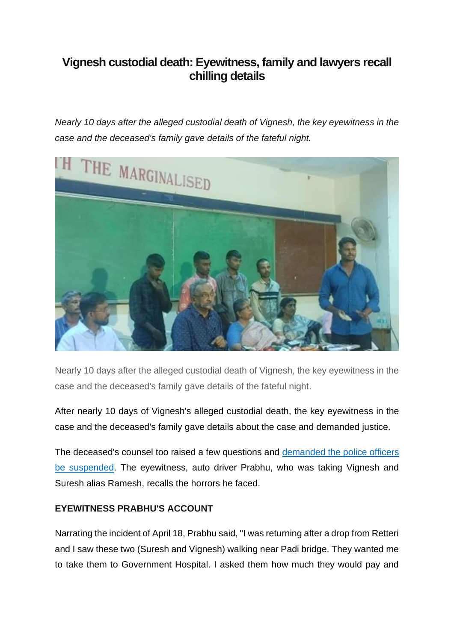## **Vignesh custodial death: Eyewitness, family and lawyers recall chilling details**

*Nearly 10 days after the alleged custodial death of Vignesh, the key eyewitness in the case and the deceased's family gave details of the fateful night.*



Nearly 10 days after the alleged custodial death of Vignesh, the key eyewitness in the case and the deceased's family gave details of the fateful night.

After nearly 10 days of Vignesh's alleged custodial death, the key eyewitness in the case and the deceased's family gave details about the case and demanded justice.

The deceased's counsel too raised a few questions and [demanded the police officers](https://www.indiatoday.in/cities/chennai/story/chennai-custodial-death-case-transferred-cb-cid-1940856-2022-04-22)  [be suspended.](https://www.indiatoday.in/cities/chennai/story/chennai-custodial-death-case-transferred-cb-cid-1940856-2022-04-22) The eyewitness, auto driver Prabhu, who was taking Vignesh and Suresh alias Ramesh, recalls the horrors he faced.

## **EYEWITNESS PRABHU'S ACCOUNT**

Narrating the incident of April 18, Prabhu said, "I was returning after a drop from Retteri and I saw these two (Suresh and Vignesh) walking near Padi bridge. They wanted me to take them to Government Hospital. I asked them how much they would pay and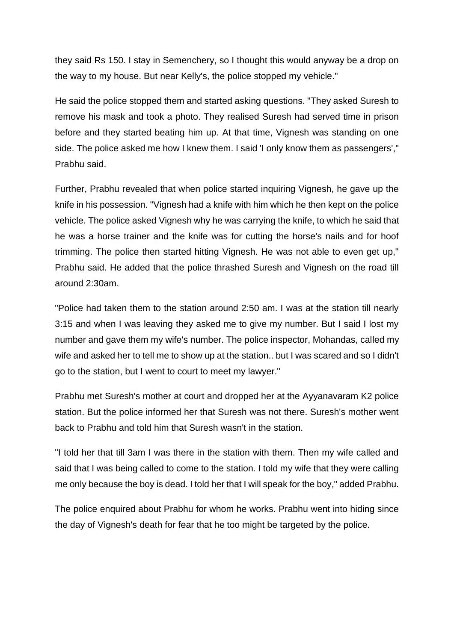they said Rs 150. I stay in Semenchery, so I thought this would anyway be a drop on the way to my house. But near Kelly's, the police stopped my vehicle."

He said the police stopped them and started asking questions. "They asked Suresh to remove his mask and took a photo. They realised Suresh had served time in prison before and they started beating him up. At that time, Vignesh was standing on one side. The police asked me how I knew them. I said 'I only know them as passengers'," Prabhu said.

Further, Prabhu revealed that when police started inquiring Vignesh, he gave up the knife in his possession. "Vignesh had a knife with him which he then kept on the police vehicle. The police asked Vignesh why he was carrying the knife, to which he said that he was a horse trainer and the knife was for cutting the horse's nails and for hoof trimming. The police then started hitting Vignesh. He was not able to even get up," Prabhu said. He added that the police thrashed Suresh and Vignesh on the road till around 2:30am.

"Police had taken them to the station around 2:50 am. I was at the station till nearly 3:15 and when I was leaving they asked me to give my number. But I said I lost my number and gave them my wife's number. The police inspector, Mohandas, called my wife and asked her to tell me to show up at the station.. but I was scared and so I didn't go to the station, but I went to court to meet my lawyer."

Prabhu met Suresh's mother at court and dropped her at the Ayyanavaram K2 police station. But the police informed her that Suresh was not there. Suresh's mother went back to Prabhu and told him that Suresh wasn't in the station.

"I told her that till 3am I was there in the station with them. Then my wife called and said that I was being called to come to the station. I told my wife that they were calling me only because the boy is dead. I told her that I will speak for the boy," added Prabhu.

The police enquired about Prabhu for whom he works. Prabhu went into hiding since the day of Vignesh's death for fear that he too might be targeted by the police.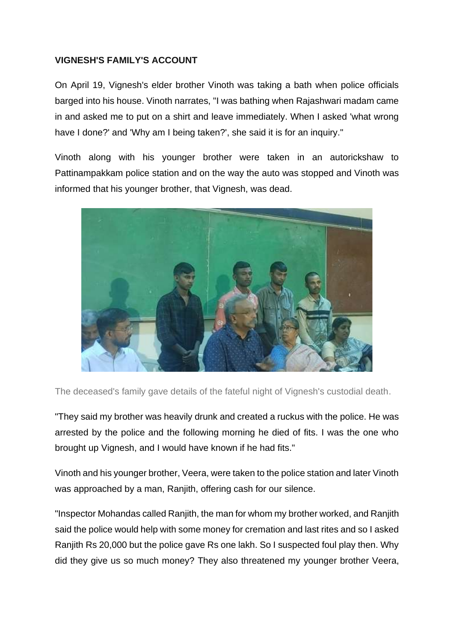## **VIGNESH'S FAMILY'S ACCOUNT**

On April 19, Vignesh's elder brother Vinoth was taking a bath when police officials barged into his house. Vinoth narrates, "I was bathing when Rajashwari madam came in and asked me to put on a shirt and leave immediately. When I asked 'what wrong have I done?' and 'Why am I being taken?', she said it is for an inquiry."

Vinoth along with his younger brother were taken in an autorickshaw to Pattinampakkam police station and on the way the auto was stopped and Vinoth was informed that his younger brother, that Vignesh, was dead.



The deceased's family gave details of the fateful night of Vignesh's custodial death.

"They said my brother was heavily drunk and created a ruckus with the police. He was arrested by the police and the following morning he died of fits. I was the one who brought up Vignesh, and I would have known if he had fits."

Vinoth and his younger brother, Veera, were taken to the police station and later Vinoth was approached by a man, Ranjith, offering cash for our silence.

"Inspector Mohandas called Ranjith, the man for whom my brother worked, and Ranjith said the police would help with some money for cremation and last rites and so I asked Ranjith Rs 20,000 but the police gave Rs one lakh. So I suspected foul play then. Why did they give us so much money? They also threatened my younger brother Veera,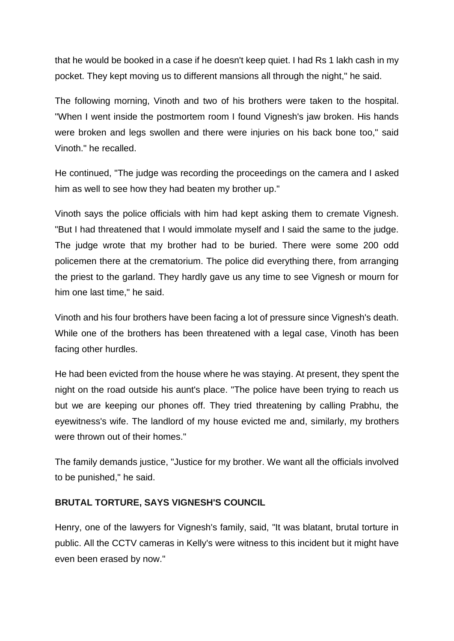that he would be booked in a case if he doesn't keep quiet. I had Rs 1 lakh cash in my pocket. They kept moving us to different mansions all through the night," he said.

The following morning, Vinoth and two of his brothers were taken to the hospital. "When I went inside the postmortem room I found Vignesh's jaw broken. His hands were broken and legs swollen and there were injuries on his back bone too," said Vinoth." he recalled.

He continued, "The judge was recording the proceedings on the camera and I asked him as well to see how they had beaten my brother up."

Vinoth says the police officials with him had kept asking them to cremate Vignesh. "But I had threatened that I would immolate myself and I said the same to the judge. The judge wrote that my brother had to be buried. There were some 200 odd policemen there at the crematorium. The police did everything there, from arranging the priest to the garland. They hardly gave us any time to see Vignesh or mourn for him one last time," he said.

Vinoth and his four brothers have been facing a lot of pressure since Vignesh's death. While one of the brothers has been threatened with a legal case, Vinoth has been facing other hurdles.

He had been evicted from the house where he was staying. At present, they spent the night on the road outside his aunt's place. "The police have been trying to reach us but we are keeping our phones off. They tried threatening by calling Prabhu, the eyewitness's wife. The landlord of my house evicted me and, similarly, my brothers were thrown out of their homes."

The family demands justice, "Justice for my brother. We want all the officials involved to be punished," he said.

## **BRUTAL TORTURE, SAYS VIGNESH'S COUNCIL**

Henry, one of the lawyers for Vignesh's family, said, "It was blatant, brutal torture in public. All the CCTV cameras in Kelly's were witness to this incident but it might have even been erased by now."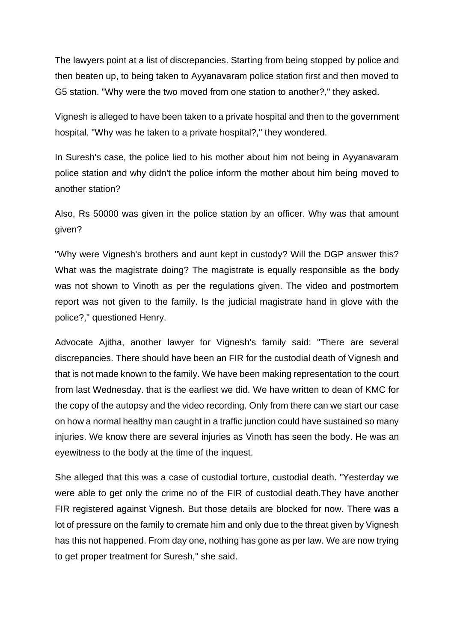The lawyers point at a list of discrepancies. Starting from being stopped by police and then beaten up, to being taken to Ayyanavaram police station first and then moved to G5 station. "Why were the two moved from one station to another?," they asked.

Vignesh is alleged to have been taken to a private hospital and then to the government hospital. "Why was he taken to a private hospital?," they wondered.

In Suresh's case, the police lied to his mother about him not being in Ayyanavaram police station and why didn't the police inform the mother about him being moved to another station?

Also, Rs 50000 was given in the police station by an officer. Why was that amount given?

"Why were Vignesh's brothers and aunt kept in custody? Will the DGP answer this? What was the magistrate doing? The magistrate is equally responsible as the body was not shown to Vinoth as per the regulations given. The video and postmortem report was not given to the family. Is the judicial magistrate hand in glove with the police?," questioned Henry.

Advocate Ajitha, another lawyer for Vignesh's family said: "There are several discrepancies. There should have been an FIR for the custodial death of Vignesh and that is not made known to the family. We have been making representation to the court from last Wednesday. that is the earliest we did. We have written to dean of KMC for the copy of the autopsy and the video recording. Only from there can we start our case on how a normal healthy man caught in a traffic junction could have sustained so many injuries. We know there are several injuries as Vinoth has seen the body. He was an eyewitness to the body at the time of the inquest.

She alleged that this was a case of custodial torture, custodial death. "Yesterday we were able to get only the crime no of the FIR of custodial death.They have another FIR registered against Vignesh. But those details are blocked for now. There was a lot of pressure on the family to cremate him and only due to the threat given by Vignesh has this not happened. From day one, nothing has gone as per law. We are now trying to get proper treatment for Suresh," she said.